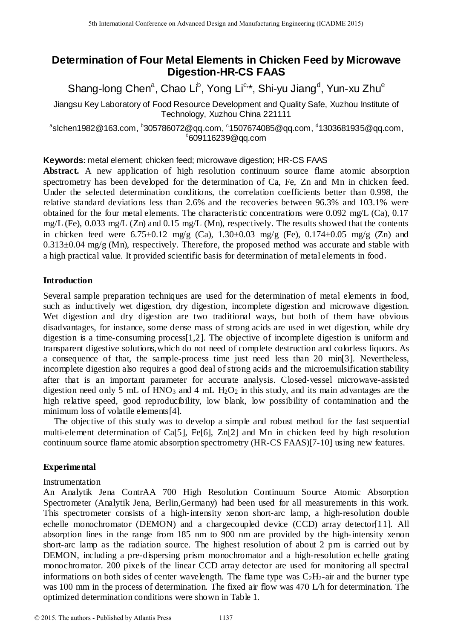# **Determination of Four Metal Elements in Chicken Feed by Microwave Digestion-HR-CS FAAS**

Shang-long Chen<sup>a</sup>, Chao Li<sup>b</sup>, Yong Li<sup>c,</sup>\*, Shi-yu Jiang<sup>d</sup>, Yun-xu Zhu<sup>e</sup>

Jiangsu Key Laboratory of Food Resource Development and Quality Safe, Xuzhou Institute of Technology, Xuzhou China 221111

 $^{\circ}$ slchen1982@163.com,  $^{\circ}$ 305786072@qq.com,  $^{\circ}$ 1507674085@qq.com,  $^{\circ}$ 1303681935@qq.com, e 609116239@qq.com

**Keywords:** metal element; chicken feed; microwave digestion; HR-CS FAAS

**Abstract.** A new application of high resolution continuum source flame atomic absorption spectrometry has been developed for the determination of Ca, Fe, Zn and Mn in chicken feed. Under the selected determination conditions, the correlation coefficients better than 0.998, the relative standard deviations less than 2.6% and the recoveries between 96.3% and 103.1% were obtained for the four metal elements. The characteristic concentrations were 0.092 mg/L (Ca), 0.17 mg/L (Fe), 0.033 mg/L (Zn) and 0.15 mg/L (Mn), respectively. The results showed that the contents in chicken feed were  $6.75\pm0.12$  mg/g (Ca),  $1.30\pm0.03$  mg/g (Fe),  $0.174\pm0.05$  mg/g (Zn) and  $0.313\pm0.04$  mg/g (Mn), respectively. Therefore, the proposed method was accurate and stable with a high practical value. It provided scientific basis for determination of metal elements in food.

## **Introduction**

Several sample preparation techniques are used for the determination of metal elements in food, such as inductively wet digestion, dry digestion, incomplete digestion and microwave digestion. Wet digestion and dry digestion are two traditional ways, but both of them have obvious disadvantages, for instance, some dense mass of strong acids are used in wet digestion, while dry digestion is a time-consuming process[1,2]. The objective of incomplete digestion is uniform and transparent digestive solutions,which do not need of complete destruction and colorless liquors. As a consequence of that, the sample-process time just need less than 20 min[3]. Nevertheless, incomplete digestion also requires a good deal of strong acids and the microemulsification stability after that is an important parameter for accurate analysis. Closed-vessel microwave-assisted digestion need only 5 mL of  $HNO<sub>3</sub>$  and 4 mL  $H<sub>2</sub>O<sub>2</sub>$  in this study, and its main advantages are the high relative speed, good reproducibility, low blank, low possibility of contamination and the minimum loss of volatile elements[4]. 5th Isamiosal Conference on Advanced Design and Manufacturing Engels on Advanced 2015.<br>
Determination of Four Metal Elements in Chicken Feed by Mic<br>
Shang-long Chen<sup>2</sup>, Con-Chicken Consequence becomes provides one and Man

The objective of this study was to develop a simple and robust method for the fast sequential multi-element determination of Ca[5], Fe[6], Zn[2] and Mn in chicken feed by high resolution continuum source flame atomic absorption spectrometry (HR-CS FAAS)[7-10] using new features.

# **Experimental**

# Instrumentation

An Analytik Jena ContrAA 700 High Resolution Continuum Source Atomic Absorption Spectrometer (Analytik Jena, Berlin,Germany) had been used for all measurements in this work. This spectrometer consists of a high-intensity xenon short-arc lamp, a high-resolution double echelle monochromator (DEMON) and a chargecoupled device (CCD) array detector<sup>[11]</sup>. All absorption lines in the range from 185 nm to 900 nm are provided by the high-intensity xenon short-arc lamp as the radiation source. The highest resolution of about 2 pm is carried out by DEMON, including a pre-dispersing prism monochromator and a high-resolution echelle grating monochromator. 200 pixels of the linear CCD array detector are used for monitoring all spectral informations on both sides of center wavelength. The flame type was  $C_2H_2$ -air and the burner type was 100 mm in the process of determination. The fixed air flow was 470 L/h for determination. The optimized determination conditions were shown in Table 1.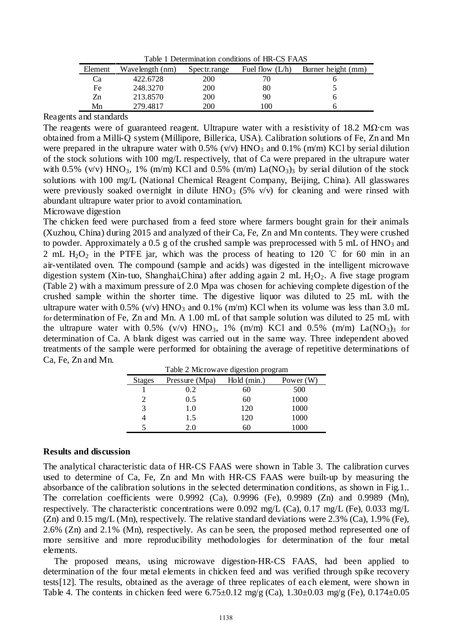Table 1 Determination conditions of HR-CS FAAS

| Element | Wavelength (nm) | Spectr.range | Fuel flow $(L/h)$ | Burner height (mm) |
|---------|-----------------|--------------|-------------------|--------------------|
| Сa      | 422.6728        | 200          |                   |                    |
| Fe      | 248.3270        | 200          | 80                |                    |
| Zn      | 213.8570        | 200          | 90                |                    |
| Mn      | 279.4817        | 200          | 0 <sup>0</sup>    |                    |

Reagents and standards

The reagents were of guaranteed reagent. Ultrapure water with a resistivity of 18.2 M $\Omega$  cm was obtained from a Milli-Q system (Millipore, Billerica, USA). Calibration solutions of Fe, Zn and Mn were prepared in the ultrapure water with  $0.5\%$  (v/v) HNO<sub>3</sub> and  $0.1\%$  (m/m) KCl by serial dilution of the stock solutions with 100 mg/L respectively, that of Ca were prepared in the ultrapure water with 0.5% (v/v) HNO<sub>3</sub>, 1% (m/m) KCl and 0.5% (m/m) La(NO<sub>3</sub>)<sub>3</sub> by serial dilution of the stock solutions with 100 mg/L (National Chemical Reagent Company, Beijing, China). All glasswares were previously soaked overnight in dilute  $HNO<sub>3</sub>$  (5% v/v) for cleaning and were rinsed with abundant ultrapure water prior to avoid contamination.

Microwave digestion

The chicken feed were purchased from a feed store where farmers bought grain for their animals (Xuzhou, China) during 2015 and analyzed of their Ca, Fe, Zn and Mn contents. They were crushed to powder. Approximately a 0.5 g of the crushed sample was preprocessed with 5 mL of  $HNO<sub>3</sub>$  and 2 mL  $H_2O_2$  in the PTFE jar, which was the process of heating to 120 °C for 60 min in an air-ventilated oven. The compound (sample and acids) was digested in the intelligent microwave digestion system (Xin-tuo, Shanghai,China) after adding again 2 mL  $H_2O_2$ . A five stage program (Table 2) with a maximum pressure of 2.0 Mpa was chosen for achieving complete digestion of the crushed sample within the shorter time. The digestive liquor was diluted to 25 mL with the ultrapure water with 0.5% (v/v)  $HNO_3$  and 0.1% (m/m) KCl when its volume was less than 3.0 mL for determination of Fe, Zn and Mn. A 1.00 mL of that sample solution was diluted to 25 mL with the ultrapure water with  $0.5\%$  (v/v) HNO<sub>3</sub>, 1% (m/m) KCl and  $0.5\%$  (m/m) La(NO<sub>3</sub>)<sub>3</sub> for determination of Ca. A blank digest was carried out in the same way. Three independent aboved treatments of the sample were performed for obtaining the average of repetitive determinations of Ca, Fe, Zn and Mn.

| Table 2 Microwave digestion program |                |             |             |
|-------------------------------------|----------------|-------------|-------------|
| <b>Stages</b>                       | Pressure (Mpa) | Hold (min.) | Power $(W)$ |
|                                     | 0.2            | 60          | 500         |
| 2                                   | 0.5            | 60          | 1000        |
| 3                                   | 1.0            | 120         | 1000        |
|                                     | 1.5            | 120         | 1000        |
|                                     | 2.0            | 60          |             |

#### **Results and discussion**

The analytical characteristic data of HR-CS FAAS were shown in Table 3. The calibration curves used to determine of Ca, Fe, Zn and Mn with HR-CS FAAS were built-up by measuring the absorbance of the calibration solutions in the selected determination conditions, as shown in Fig.1.. The correlation coefficients were 0.9992 (Ca), 0.9996 (Fe), 0.9989 (Zn) and 0.9989 (Mn), respectively. The characteristic concentrations were 0.092 mg/L (Ca), 0.17 mg/L (Fe), 0.033 mg/L (Zn) and 0.15 mg/L (Mn), respectively. The relative standard deviations were 2.3% (Ca), 1.9% (Fe), 2.6% (Zn) and 2.1% (Mn), respectively. As can be seen, the proposed method represented one of more sensitive and more reproducibility methodologies for determination of the four metal elements.

The proposed means, using microwave digestion-HR-CS FAAS, had been applied to determination of the four metal elements in chicken feed and was verified through spike recovery tests[12]. The results, obtained as the average of three replicates of each element, were shown in Table 4. The contents in chicken feed were  $6.75 \pm 0.12$  mg/g (Ca),  $1.30 \pm 0.03$  mg/g (Fe),  $0.174 \pm 0.05$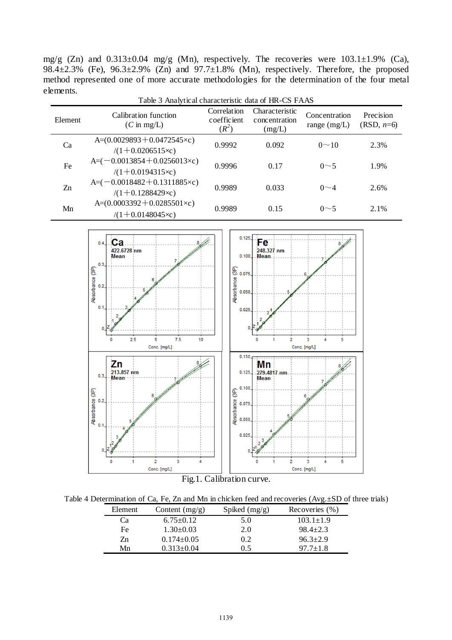mg/g (Zn) and 0.313±0.04 mg/g (Mn), respectively. The recoveries were 103.1±1.9% (Ca), 98.4 $\pm$ 2.3% (Fe), 96.3 $\pm$ 2.9% (Zn) and 97.7 $\pm$ 1.8% (Mn), respectively. Therefore, the proposed method represented one of more accurate methodologies for the determination of the four metal elements.

| Table 3 Analytical characteristic data of HR-CS FAAS |                                                                     |                                       |                                           |                                 |                           |
|------------------------------------------------------|---------------------------------------------------------------------|---------------------------------------|-------------------------------------------|---------------------------------|---------------------------|
| Element                                              | Calibration function<br>$(C \text{ in } mg/L)$                      | Correlation<br>coefficient<br>$(R^2)$ | Characteristic<br>concentration<br>(mg/L) | Concentration<br>range $(mg/L)$ | Precision<br>$(RSD, n=6)$ |
| Ca                                                   | A= $(0.0029893 + 0.0472545 \times c)$<br>$/(1+0.0206515\times c)$   | 0.9992                                | 0.092                                     | $0 \sim 10$                     | 2.3%                      |
| Fe                                                   | $A = (-0.0013854 + 0.0256013 \times c)$<br>$/(1+0.0194315\times c)$ | 0.9996                                | 0.17                                      | $0\sim$ 5                       | 1.9%                      |
| Zn                                                   | $A = (-0.0018482 + 0.1311885 \times c)$<br>$/(1+0.1288429\times c)$ | 0.9989                                | 0.033                                     | $0\sim4$                        | 2.6%                      |
| Mn                                                   | A= $(0.0003392 + 0.0285501 \times c)$<br>$/(1+0.0148045\times c)$   | 0.9989                                | 0.15                                      | $0\sim$ 5                       | 2.1%                      |



Fig.1. Calibration curve.

| Table 4 Determination of Ca, Fe, Zn and Mn in chicken feed and recoveries $(Avg. \pm SD$ of three trials) |  |
|-----------------------------------------------------------------------------------------------------------|--|
|-----------------------------------------------------------------------------------------------------------|--|

| Element | Content $(mg/g)$ | Spiked $(mg/g)$ | Recoveries (%)  |
|---------|------------------|-----------------|-----------------|
| Ca      | $6.75 \pm 0.12$  | 5.0             | $103.1 \pm 1.9$ |
| Fe      | $1.30 \pm 0.03$  | 2.0             | $98.4 \pm 2.3$  |
| Zn      | $0.174 \pm 0.05$ | 0.2             | $96.3 \pm 2.9$  |
| Mn      | $0.313 \pm 0.04$ | (9.5)           | $97.7 + 1.8$    |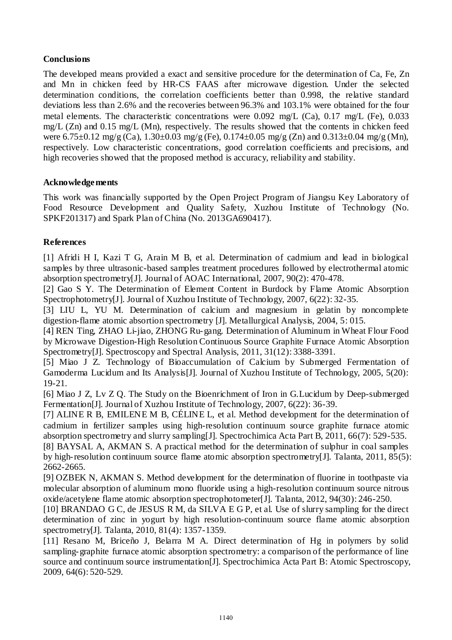# **Conclusions**

The developed means provided a exact and sensitive procedure for the determination of Ca, Fe, Zn and Mn in chicken feed by HR-CS FAAS after microwave digestion. Under the selected determination conditions, the correlation coefficients better than 0.998, the relative standard deviations less than 2.6% and the recoveries between 96.3% and 103.1% were obtained for the four metal elements. The characteristic concentrations were 0.092 mg/L (Ca), 0.17 mg/L (Fe), 0.033 mg/L (Zn) and 0.15 mg/L (Mn), respectively. The results showed that the contents in chicken feed were  $6.75\pm0.12$  mg/g (Ca),  $1.30\pm0.03$  mg/g (Fe),  $0.174\pm0.05$  mg/g (Zn) and  $0.313\pm0.04$  mg/g (Mn), respectively. Low characteristic concentrations, good correlation coefficients and precisions, and high recoveries showed that the proposed method is accuracy, reliability and stability.

## **Acknowledgements**

This work was financially supported by the Open Project Program of Jiangsu Key Laboratory of Food Resource Development and Quality Safety, Xuzhou Institute of Technology (No. SPKF201317) and Spark Plan of China (No. 2013GA690417).

# **References**

[1] Afridi H I, Kazi T G, Arain M B, et al. Determination of cadmium and lead in biological samples by three ultrasonic-based samples treatment procedures followed by electrothermal atomic absorption spectrometry[J]. Journal of AOAC International, 2007, 90(2): 470-478.

[2] Gao S Y. The Determination of Element Content in Burdock by Flame Atomic Absorption Spectrophotometry[J]. Journal of Xuzhou Institute of Technology, 2007, 6(22): 32-35.

[3] LIU L, YU M. Determination of calcium and magnesium in gelatin by noncomplete digestion-flame atomic absortion spectrometry [J]. Metallurgical Analysis, 2004, 5: 015.

[4] REN Ting, ZHAO Li-jiao, ZHONG Ru-gang. Determination of Aluminum in Wheat Flour Food by Microwave Digestion-High Resolution Continuous Source Graphite Furnace Atomic Absorption Spectrometry[J]. Spectroscopy and Spectral Analysis, 2011, 31(12): 3388-3391.

[5] Miao J Z. Technology of Bioaccumulation of Calcium by Submerged Fermentation of Gamoderma Lucidum and Its Analysis[J]. Journal of Xuzhou Institute of Technology, 2005, 5(20): 19-21.

[6] Miao J Z, Lv Z Q. The Study on the Bioenrichment of Iron in G.Lucidum by Deep-submerged Fermentation[J]. Journal of Xuzhou Institute of Technology, 2007, 6(22): 36-39.

[7] ALINE R B, EMILENE M B, CÉLINE L, et al. Method development for the determination of cadmium in fertilizer samples using high-resolution continuum source graphite furnace atomic absorption spectrometry and slurry sampling[J]. Spectrochimica Acta Part B, 2011, 66(7): 529-535.

[8] BAYSAL A, AKMAN S. A practical method for the determination of sulphur in coal samples by high-resolution continuum source flame atomic absorption spectrometry[J]. Talanta, 2011, 85(5): 2662-2665.

[9] OZBEK N, AKMAN S. Method development for the determination of fluorine in toothpaste via molecular absorption of aluminum mono fluoride using a high-resolution continuum source nitrous oxide/acetylene flame atomic absorption spectrophotometer[J]. Talanta, 2012, 94(30): 246-250.

[10] BRANDAO G C, de JESUS R M, da SILVA E G P, et al. Use of slurry sampling for the direct determination of zinc in yogurt by high resolution-continuum source flame atomic absorption spectrometry[J]. Talanta, 2010, 81(4): 1357-1359.

[11] Resano M, Briceño J, Belarra M A. Direct determination of Hg in polymers by solid sampling-graphite furnace atomic absorption spectrometry: a comparison of the performance of line source and continuum source instrumentation[J]. Spectrochimica Acta Part B: Atomic Spectroscopy, 2009, 64(6): 520-529.